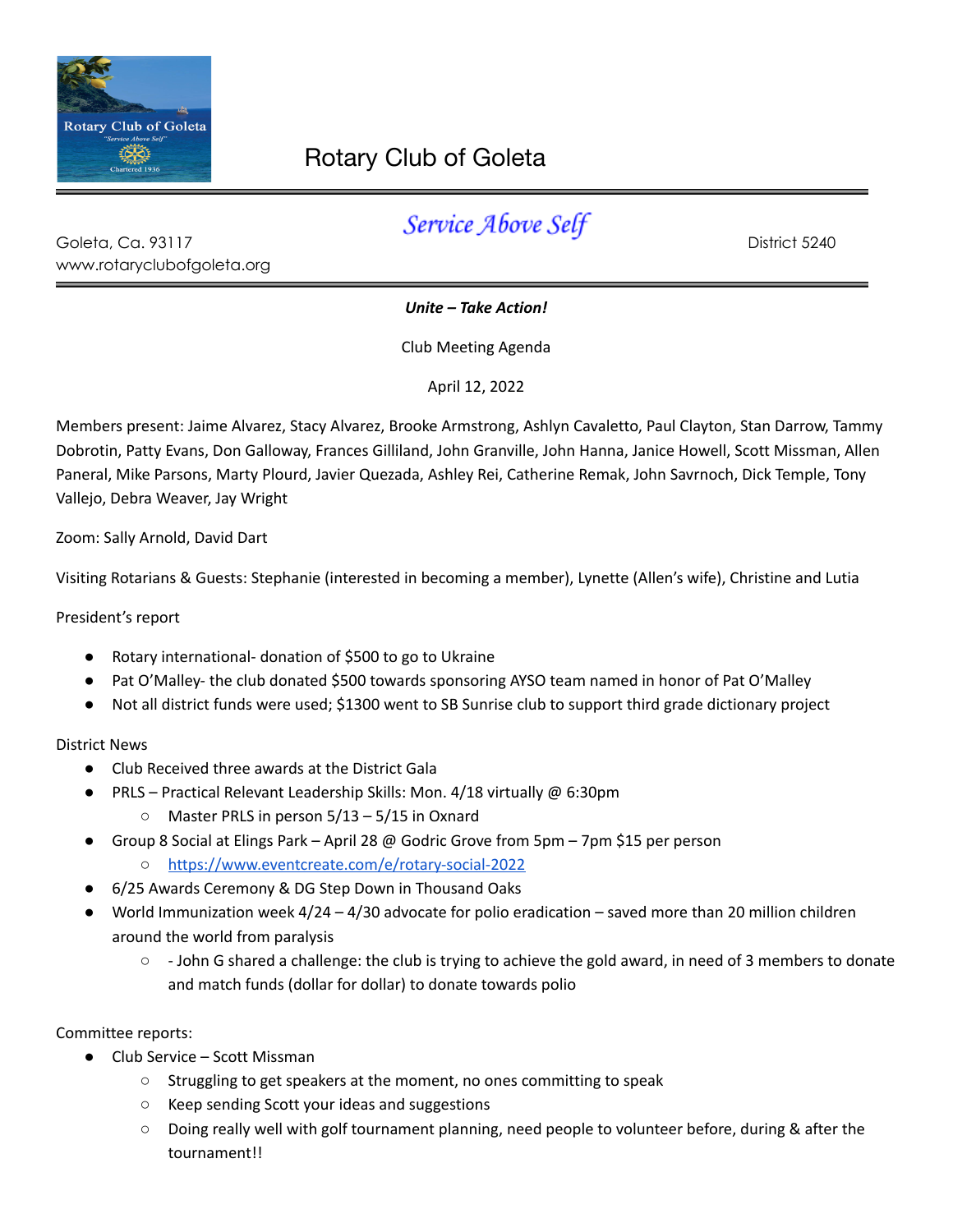

## Rotary Club of Goleta

| Goleta, Ca. 93117          | ________________ | District 5240 |
|----------------------------|------------------|---------------|
| www.rotaryclubofgoleta.org |                  |               |

*Unite – Take Action!*

Club Meeting Agenda

April 12, 2022

Members present: Jaime Alvarez, Stacy Alvarez, Brooke Armstrong, Ashlyn Cavaletto, Paul Clayton, Stan Darrow, Tammy Dobrotin, Patty Evans, Don Galloway, Frances Gilliland, John Granville, John Hanna, Janice Howell, Scott Missman, Allen Paneral, Mike Parsons, Marty Plourd, Javier Quezada, Ashley Rei, Catherine Remak, John Savrnoch, Dick Temple, Tony Vallejo, Debra Weaver, Jay Wright

Zoom: Sally Arnold, David Dart

Visiting Rotarians & Guests: Stephanie (interested in becoming a member), Lynette (Allen's wife), Christine and Lutia

President's report

- Rotary international- donation of \$500 to go to Ukraine
- Pat O'Malley- the club donated \$500 towards sponsoring AYSO team named in honor of Pat O'Malley
- Not all district funds were used; \$1300 went to SB Sunrise club to support third grade dictionary project

## District News

- Club Received three awards at the District Gala
- PRLS Practical Relevant Leadership Skills: Mon. 4/18 virtually @ 6:30pm
	- Master PRLS in person 5/13 5/15 in Oxnard
- Group 8 Social at Elings Park April 28 @ Godric Grove from 5pm 7pm \$15 per person
	- <https://www.eventcreate.com/e/rotary-social-2022>
- 6/25 Awards Ceremony & DG Step Down in Thousand Oaks
- World Immunization week  $4/24 4/30$  advocate for polio eradication saved more than 20 million children around the world from paralysis
	- - John G shared a challenge: the club is trying to achieve the gold award, in need of 3 members to donate and match funds (dollar for dollar) to donate towards polio

Committee reports:

- Club Service Scott Missman
	- Struggling to get speakers at the moment, no ones committing to speak
	- Keep sending Scott your ideas and suggestions
	- Doing really well with golf tournament planning, need people to volunteer before, during & after the tournament!!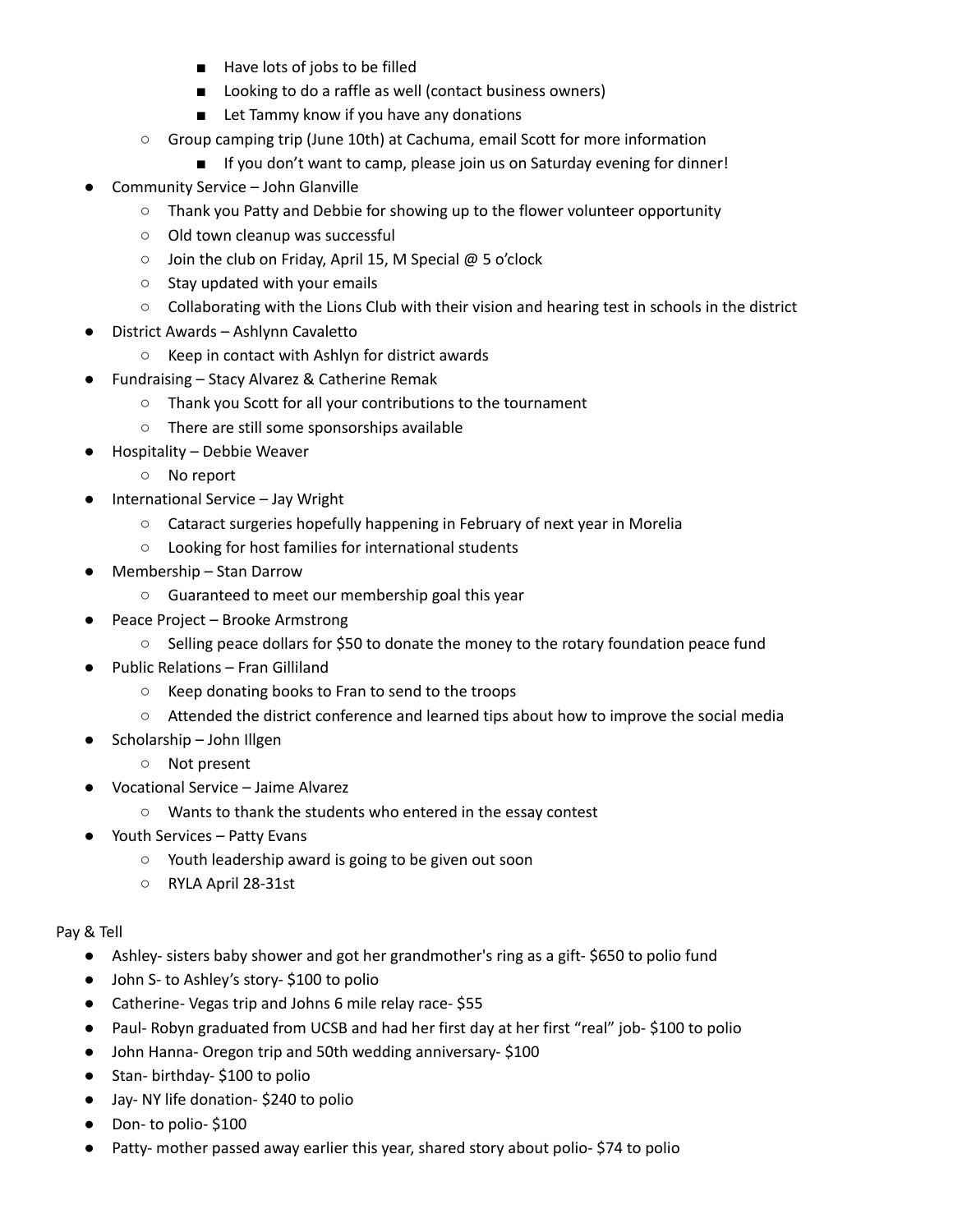- Have lots of jobs to be filled
- Looking to do a raffle as well (contact business owners)
- Let Tammy know if you have any donations
- Group camping trip (June 10th) at Cachuma, email Scott for more information
	- If you don't want to camp, please join us on Saturday evening for dinner!
- Community Service John Glanville
	- Thank you Patty and Debbie for showing up to the flower volunteer opportunity
	- Old town cleanup was successful
	- Join the club on Friday, April 15, M Special @ 5 o'clock
	- Stay updated with your emails
	- Collaborating with the Lions Club with their vision and hearing test in schools in the district
- District Awards Ashlynn Cavaletto
	- Keep in contact with Ashlyn for district awards
- Fundraising Stacy Alvarez & Catherine Remak
	- Thank you Scott for all your contributions to the tournament
	- There are still some sponsorships available
- Hospitality Debbie Weaver
	- No report
- International Service Jay Wright
	- Cataract surgeries hopefully happening in February of next year in Morelia
	- Looking for host families for international students
- Membership Stan Darrow
	- Guaranteed to meet our membership goal this year
- Peace Project Brooke Armstrong
	- Selling peace dollars for \$50 to donate the money to the rotary foundation peace fund
- Public Relations Fran Gilliland
	- Keep donating books to Fran to send to the troops
	- Attended the district conference and learned tips about how to improve the social media
	- Scholarship John Illgen
		- Not present
- Vocational Service Jaime Alvarez
	- Wants to thank the students who entered in the essay contest
- Youth Services Patty Evans
	- Youth leadership award is going to be given out soon
	- RYLA April 28-31st

## Pay & Tell

- Ashley- sisters baby shower and got her grandmother's ring as a gift- \$650 to polio fund
- John S- to Ashley's story- \$100 to polio
- Catherine- Vegas trip and Johns 6 mile relay race- \$55
- Paul- Robyn graduated from UCSB and had her first day at her first "real" job- \$100 to polio
- John Hanna- Oregon trip and 50th wedding anniversary- \$100
- Stan- birthday- \$100 to polio
- Jay- NY life donation- \$240 to polio
- Don- to polio-\$100
- Patty- mother passed away earlier this year, shared story about polio- \$74 to polio